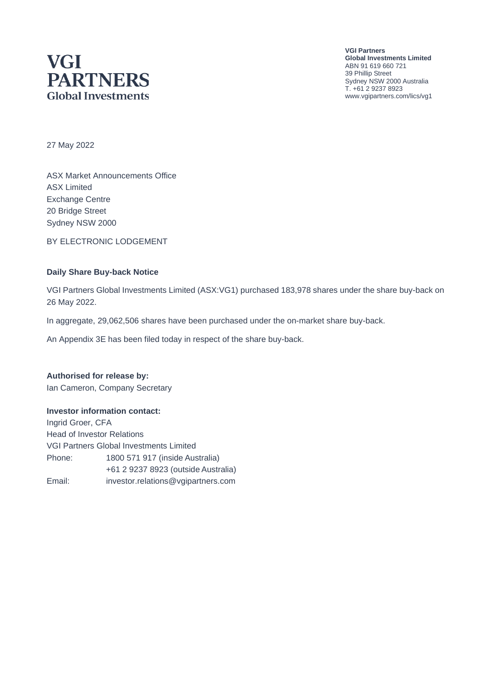## **VGI PARTNERS Global Investments**

**VGI Partners Global Investments Limited** ABN 91 619 660 721 39 Phillip Street Sydney NSW 2000 Australia T. +61 2 9237 8923 www.vgipartners.com/lics/vg1

27 May 2022

ASX Market Announcements Office ASX Limited Exchange Centre 20 Bridge Street Sydney NSW 2000

BY ELECTRONIC LODGEMENT

#### **Daily Share Buy-back Notice**

VGI Partners Global Investments Limited (ASX:VG1) purchased 183,978 shares under the share buy-back on 26 May 2022.

In aggregate, 29,062,506 shares have been purchased under the on-market share buy-back.

An Appendix 3E has been filed today in respect of the share buy-back.

## **Authorised for release by:**

Ian Cameron, Company Secretary

#### **Investor information contact:**

Ingrid Groer, CFA Head of Investor Relations VGI Partners Global Investments Limited Phone: 1800 571 917 (inside Australia) +61 2 9237 8923 (outside Australia) Email: investor.relations@vgipartners.com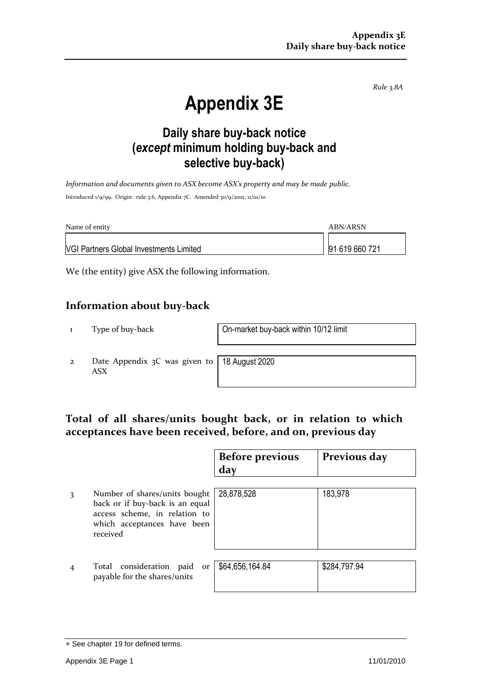*Rule 3.8A*

# **Appendix 3E**

## **Daily share buy-back notice (***except* **minimum holding buy-back and selective buy-back)**

*Information and documents given to ASX become ASX's property and may be made public.* Introduced 1/9/99. Origin: rule 3.6, Appendix 7C. Amended 30/9/2001, 11/01/10

| Name of entity                                 | ABN/ARSN       |
|------------------------------------------------|----------------|
| <b>VGI Partners Global Investments Limited</b> | 91 619 660 721 |

We (the entity) give ASX the following information.

#### **Information about buy-back**

1 Type of buy-back On-market buy-back within 10/12 limit

2 Date Appendix 3C was given to ASX

18 August 2020

#### **Total of all shares/units bought back, or in relation to which acceptances have been received, before, and on, previous day**

|   |                                                                                                                                              | <b>Before previous</b><br>day | Previous day |
|---|----------------------------------------------------------------------------------------------------------------------------------------------|-------------------------------|--------------|
| 3 | Number of shares/units bought<br>back or if buy-back is an equal<br>access scheme, in relation to<br>which acceptances have been<br>received | 28,878,528                    | 183,978      |
|   | Total consideration paid<br>or<br>payable for the shares/units                                                                               | \$64,656,164.84               | \$284,797.94 |

<sup>+</sup> See chapter 19 for defined terms.